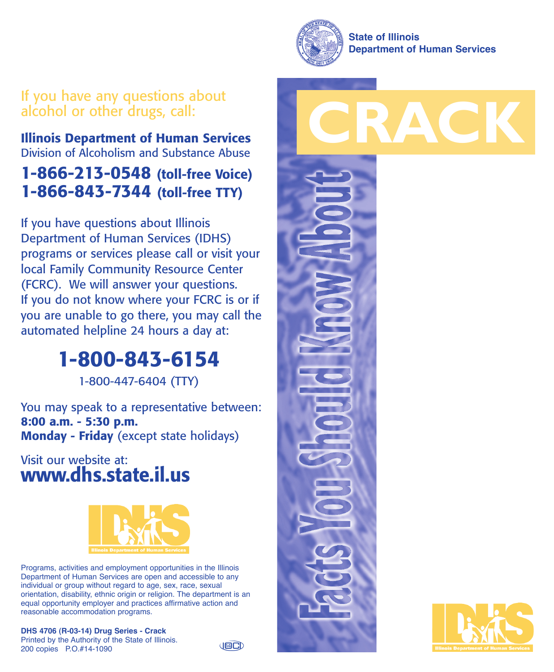

## If you have any questions about alcohol or other drugs, call:

**Illinois Department of Human Services** Division of Alcoholism and Substance Abuse

# **1-866-213-0548 (toll-free Voice) 1-866-843-7344 (toll-free TTY)**

If you have questions about Illinois Department of Human Services (IDHS) programs or services please call or visit your local Family Community Resource Center (FCRC). We will answer your questions. If you do not know where your FCRC is or if you are unable to go there, you may call the automated helpline 24 hours a day at:

# **1-800-843-6154**

1-800-447-6404 (TTY)

You may speak to a representative between: **8:00 a.m. - 5:30 p.m. Monday - Friday** (except state holidays)

### Visit our website at: **www.dhs.state.il.us**



Programs, activities and employment opportunities in the Illinois Department of Human Services are open and accessible to any individual or group without regard to age, sex, race, sexual orientation, disability, ethnic origin or religion. The department is an equal opportunity employer and practices affirmative action and reasonable accommodation programs.

**DHS 4706 (R-03-14) Drug Series - Crack** Printed by the Authority of the State of Illinois. 200 copies P.O.#14-1090

**JECD**